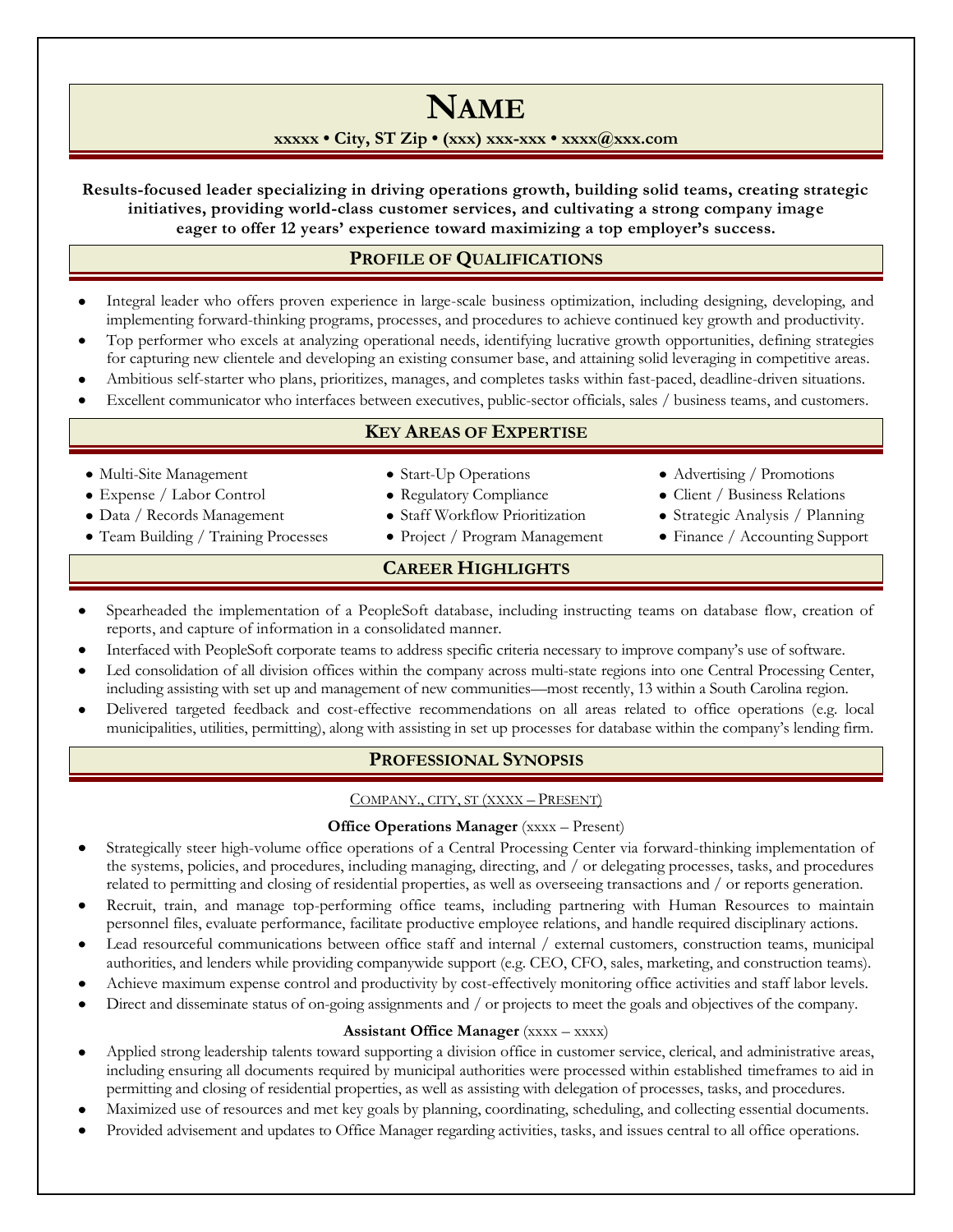# **NAME**

## **xxxxx • City, ST Zip • (xxx) xxx-xxx • xxxx@xxx.com**

**Results-focused leader specializing in driving operations growth, building solid teams, creating strategic initiatives, providing world-class customer services, and cultivating a strong company image eager to offer 12 years' experience toward maximizing a top employer's success.**

## **PROFILE OF QUALIFICATIONS**

- Integral leader who offers proven experience in large-scale business optimization, including designing, developing, and implementing forward-thinking programs, processes, and procedures to achieve continued key growth and productivity.
- Top performer who excels at analyzing operational needs, identifying lucrative growth opportunities, defining strategies for capturing new clientele and developing an existing consumer base, and attaining solid leveraging in competitive areas.
- Ambitious self-starter who plans, prioritizes, manages, and completes tasks within fast-paced, deadline-driven situations.
- Excellent communicator who interfaces between executives, public-sector officials, sales / business teams, and customers.

## **KEY AREAS OF EXPERTISE**

- Multi-Site Management
- Expense / Labor Control
- Data / Records Management
- Team Building / Training Processes
- Start-Up Operations
- Regulatory Compliance
- Staff Workflow Prioritization
- Project / Program Management
- Advertising / Promotions
- Client / Business Relations
- Strategic Analysis / Planning
- Finance / Accounting Support
- **CAREER HIGHLIGHTS**
- Spearheaded the implementation of a PeopleSoft database, including instructing teams on database flow, creation of reports, and capture of information in a consolidated manner.
- Interfaced with PeopleSoft corporate teams to address specific criteria necessary to improve company's use of software.
- Led consolidation of all division offices within the company across multi-state regions into one Central Processing Center, including assisting with set up and management of new communities—most recently, 13 within a South Carolina region.
- Delivered targeted feedback and cost-effective recommendations on all areas related to office operations (e.g. local municipalities, utilities, permitting), along with assisting in set up processes for database within the company's lending firm.

# **PROFESSIONAL SYNOPSIS**

## COMPANY., CITY, ST (XXXX – PRESENT)

## **Office Operations Manager** (xxxx – Present)

- Strategically steer high-volume office operations of a Central Processing Center via forward-thinking implementation of the systems, policies, and procedures, including managing, directing, and / or delegating processes, tasks, and procedures related to permitting and closing of residential properties, as well as overseeing transactions and / or reports generation.
- Recruit, train, and manage top-performing office teams, including partnering with Human Resources to maintain personnel files, evaluate performance, facilitate productive employee relations, and handle required disciplinary actions.
- Lead resourceful communications between office staff and internal / external customers, construction teams, municipal authorities, and lenders while providing companywide support (e.g. CEO, CFO, sales, marketing, and construction teams).
- Achieve maximum expense control and productivity by cost-effectively monitoring office activities and staff labor levels.
- Direct and disseminate status of on-going assignments and / or projects to meet the goals and objectives of the company.

# **Assistant Office Manager** (xxxx – xxxx)

- Applied strong leadership talents toward supporting a division office in customer service, clerical, and administrative areas, including ensuring all documents required by municipal authorities were processed within established timeframes to aid in permitting and closing of residential properties, as well as assisting with delegation of processes, tasks, and procedures.
- Maximized use of resources and met key goals by planning, coordinating, scheduling, and collecting essential documents.
- Provided advisement and updates to Office Manager regarding activities, tasks, and issues central to all office operations.